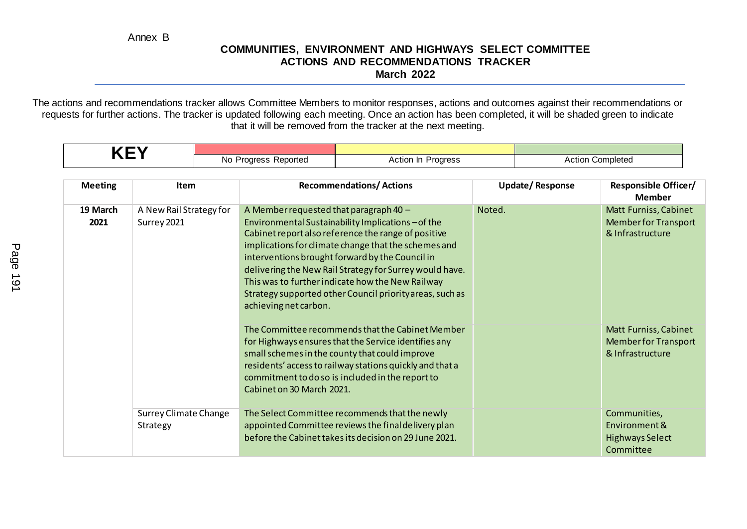Annex B

#### **COMMUNITIES, ENVIRONMENT AND HIGHWAYS SELECT COMMITTEE ACTIONS AND RECOMMENDATIONS TRACKER March 2022**

The actions and recommendations tracker allows Committee Members to monitor responses, actions and outcomes against their recommendations or requests for further actions. The tracker is updated following each meeting. Once an action has been completed, it will be shaded green to indicate that it will be removed from the tracker at the next meeting.

| - |                               |                 |                            |
|---|-------------------------------|-----------------|----------------------------|
|   | Reported<br>Νo<br>…dresc<br>. | paress<br>ACTIC | Completed<br><b>ACtion</b> |

| <b>Meeting</b>   | <b>Item</b>                              | <b>Recommendations/Actions</b>                                                                                                                                                                                                                                                                                                                                                                                                                                     | <b>Update/Response</b> | <b>Responsible Officer/</b><br><b>Member</b>                             |
|------------------|------------------------------------------|--------------------------------------------------------------------------------------------------------------------------------------------------------------------------------------------------------------------------------------------------------------------------------------------------------------------------------------------------------------------------------------------------------------------------------------------------------------------|------------------------|--------------------------------------------------------------------------|
| 19 March<br>2021 | A New Rail Strategy for<br>Surrey 2021   | A Member requested that paragraph $40 -$<br>Environmental Sustainability Implications-of the<br>Cabinet report also reference the range of positive<br>implications for climate change that the schemes and<br>interventions brought forward by the Council in<br>delivering the New Rail Strategy for Surrey would have.<br>This was to further indicate how the New Railway<br>Strategy supported other Council priority areas, such as<br>achieving net carbon. | Noted.                 | Matt Furniss, Cabinet<br><b>Member for Transport</b><br>& Infrastructure |
|                  |                                          | The Committee recommends that the Cabinet Member<br>for Highways ensures that the Service identifies any<br>small schemes in the county that could improve<br>residents' access to railway stations quickly and that a<br>commitment to do so is included in the report to<br>Cabinet on 30 March 2021.                                                                                                                                                            |                        | Matt Furniss, Cabinet<br><b>Member for Transport</b><br>& Infrastructure |
|                  | <b>Surrey Climate Change</b><br>Strategy | The Select Committee recommends that the newly<br>appointed Committee reviews the final delivery plan<br>before the Cabinet takes its decision on 29 June 2021.                                                                                                                                                                                                                                                                                                    |                        | Communities,<br>Environment &<br><b>Highways Select</b><br>Committee     |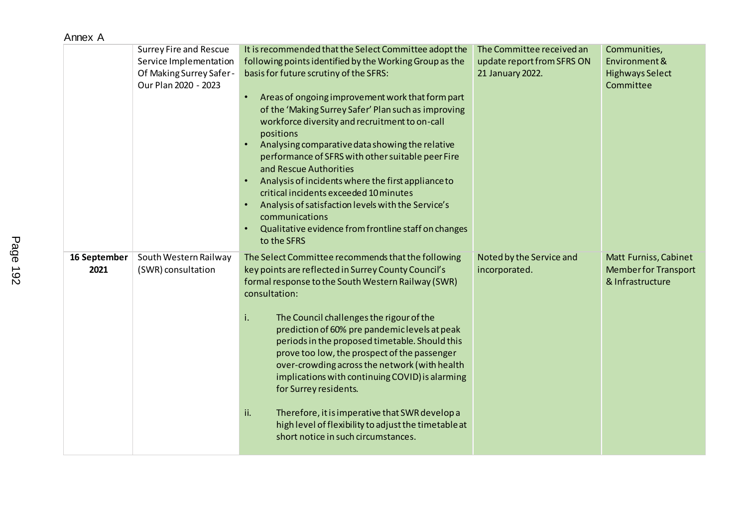| Annex A              |                                                                                                            |                                                                                                                                                                                                                                                                                                                                                                                                                                                                                                                                                                                                                                                                                                                                                                                        |                                                                             |                                                                                 |
|----------------------|------------------------------------------------------------------------------------------------------------|----------------------------------------------------------------------------------------------------------------------------------------------------------------------------------------------------------------------------------------------------------------------------------------------------------------------------------------------------------------------------------------------------------------------------------------------------------------------------------------------------------------------------------------------------------------------------------------------------------------------------------------------------------------------------------------------------------------------------------------------------------------------------------------|-----------------------------------------------------------------------------|---------------------------------------------------------------------------------|
|                      | <b>Surrey Fire and Rescue</b><br>Service Implementation<br>Of Making Surrey Safer-<br>Our Plan 2020 - 2023 | It is recommended that the Select Committee adopt the<br>following points identified by the Working Group as the<br>basis for future scrutiny of the SFRS:<br>Areas of ongoing improvement work that form part<br>$\bullet$<br>of the 'Making Surrey Safer' Plan such as improving<br>workforce diversity and recruitment to on-call<br>positions<br>Analysing comparative data showing the relative<br>$\bullet$<br>performance of SFRS with other suitable peer Fire<br>and Rescue Authorities<br>Analysis of incidents where the first appliance to<br>$\bullet$<br>critical incidents exceeded 10 minutes<br>Analysis of satisfaction levels with the Service's<br>$\bullet$<br>communications<br>Qualitative evidence from frontline staff on changes<br>$\bullet$<br>to the SFRS | The Committee received an<br>update report from SFRS ON<br>21 January 2022. | Communities,<br>Environment &<br><b>Highways Select</b><br>Committee            |
| 16 September<br>2021 | South Western Railway<br>(SWR) consultation                                                                | The Select Committee recommends that the following<br>key points are reflected in Surrey County Council's<br>formal response to the South Western Railway (SWR)<br>consultation:<br>i.<br>The Council challenges the rigour of the<br>prediction of 60% pre pandemic levels at peak<br>periods in the proposed timetable. Should this<br>prove too low, the prospect of the passenger<br>over-crowding across the network (with health<br>implications with continuing COVID) is alarming<br>for Surrey residents.<br>ii.<br>Therefore, it is imperative that SWR develop a<br>high level of flexibility to adjust the timetable at<br>short notice in such circumstances.                                                                                                             | Noted by the Service and<br>incorporated.                                   | <b>Matt Furniss, Cabinet</b><br><b>Member for Transport</b><br>& Infrastructure |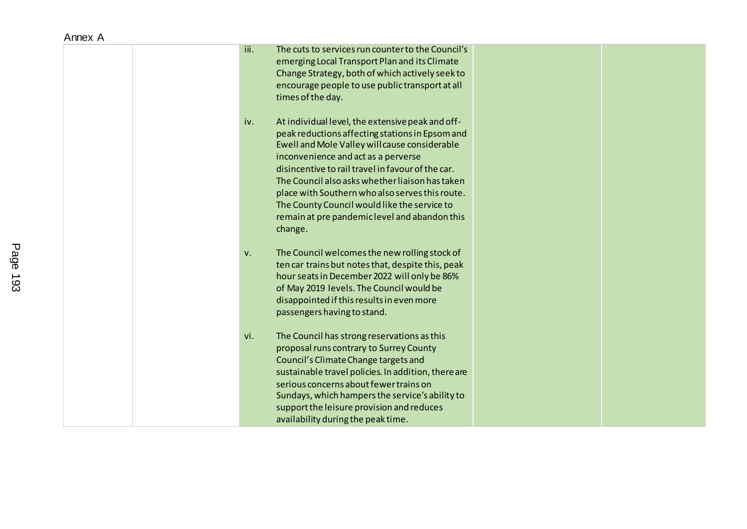|  |  | Annex A |  |
|--|--|---------|--|
|--|--|---------|--|

| iii.<br>The cuts to services run counter to the Council's<br>emerging Local Transport Plan and its Climate<br>Change Strategy, both of which actively seek to<br>encourage people to use public transport at all<br>times of the day.                                                                                                                                                                                                                                     |  |
|---------------------------------------------------------------------------------------------------------------------------------------------------------------------------------------------------------------------------------------------------------------------------------------------------------------------------------------------------------------------------------------------------------------------------------------------------------------------------|--|
| At individual level, the extensive peak and off-<br>iv.<br>peak reductions affecting stations in Epsom and<br>Ewell and Mole Valley will cause considerable<br>inconvenience and act as a perverse<br>disincentive to rail travel in favour of the car.<br>The Council also asks whether liaison has taken<br>place with Southern who also serves this route.<br>The County Council would like the service to<br>remain at pre pandemic level and abandon this<br>change. |  |
| The Council welcomes the new rolling stock of<br>V.<br>ten car trains but notes that, despite this, peak<br>hour seats in December 2022 will only be 86%<br>of May 2019 levels. The Council would be<br>disappointed if this results in even more<br>passengers having to stand.                                                                                                                                                                                          |  |
| vi.<br>The Council has strong reservations as this<br>proposal runs contrary to Surrey County<br>Council's Climate Change targets and<br>sustainable travel policies. In addition, there are<br>serious concerns about fewer trains on<br>Sundays, which hampers the service's ability to<br>support the leisure provision and reduces<br>availability during the peak time.                                                                                              |  |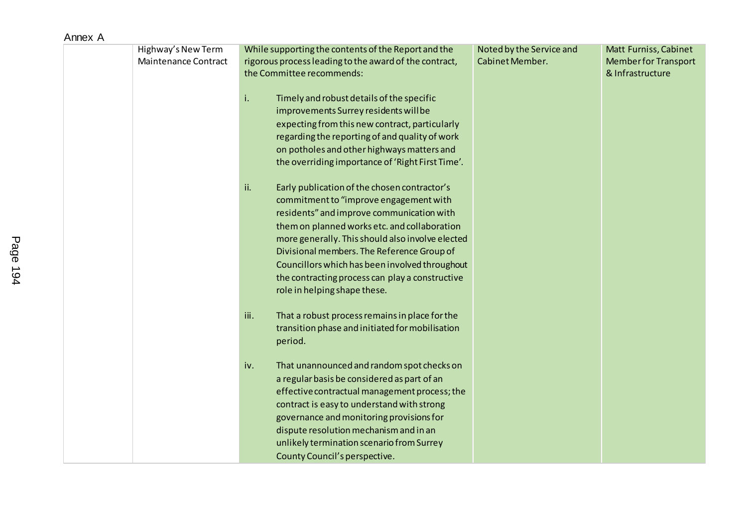| Highway's New Term<br><b>Maintenance Contract</b> | While supporting the contents of the Report and the<br>rigorous process leading to the award of the contract,<br>the Committee recommends:                                                                                                                                                                                                                                                                                        | Noted by the Service and<br>Cabinet Member. | Matt Furniss, Cabinet<br><b>Member for Transport</b><br>& Infrastructure |
|---------------------------------------------------|-----------------------------------------------------------------------------------------------------------------------------------------------------------------------------------------------------------------------------------------------------------------------------------------------------------------------------------------------------------------------------------------------------------------------------------|---------------------------------------------|--------------------------------------------------------------------------|
|                                                   | Timely and robust details of the specific<br>i.<br>improvements Surrey residents will be<br>expecting from this new contract, particularly<br>regarding the reporting of and quality of work<br>on potholes and other highways matters and<br>the overriding importance of 'Right First Time'.                                                                                                                                    |                                             |                                                                          |
|                                                   | Early publication of the chosen contractor's<br>ii.<br>commitment to "improve engagement with<br>residents" and improve communication with<br>them on planned works etc. and collaboration<br>more generally. This should also involve elected<br>Divisional members. The Reference Group of<br>Councillors which has been involved throughout<br>the contracting process can play a constructive<br>role in helping shape these. |                                             |                                                                          |
|                                                   | That a robust process remains in place for the<br>iii.<br>transition phase and initiated for mobilisation<br>period.                                                                                                                                                                                                                                                                                                              |                                             |                                                                          |
|                                                   | That unannounced and random spot checks on<br>iv.<br>a regular basis be considered as part of an<br>effective contractual management process; the<br>contract is easy to understand with strong<br>governance and monitoring provisions for<br>dispute resolution mechanism and in an<br>unlikely termination scenario from Surrey<br>County Council's perspective.                                                               |                                             |                                                                          |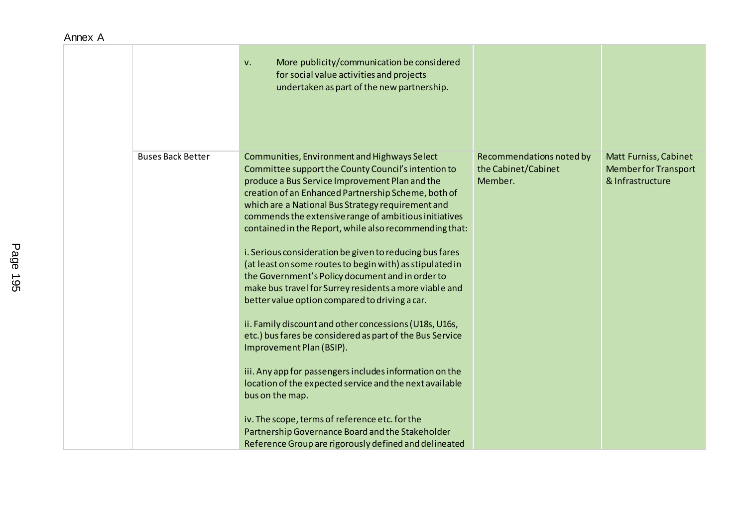|                          | More publicity/communication be considered<br>V.<br>for social value activities and projects<br>undertaken as part of the new partnership.                                                                                                                                                                                                                                                                                                                                                                                                                                                                                                                                                                                                                                                                                                                                                                                                                                                                                                                                                                                            |                                                            |                                                                          |
|--------------------------|---------------------------------------------------------------------------------------------------------------------------------------------------------------------------------------------------------------------------------------------------------------------------------------------------------------------------------------------------------------------------------------------------------------------------------------------------------------------------------------------------------------------------------------------------------------------------------------------------------------------------------------------------------------------------------------------------------------------------------------------------------------------------------------------------------------------------------------------------------------------------------------------------------------------------------------------------------------------------------------------------------------------------------------------------------------------------------------------------------------------------------------|------------------------------------------------------------|--------------------------------------------------------------------------|
| <b>Buses Back Better</b> | Communities, Environment and Highways Select<br>Committee support the County Council's intention to<br>produce a Bus Service Improvement Plan and the<br>creation of an Enhanced Partnership Scheme, both of<br>which are a National Bus Strategy requirement and<br>commends the extensive range of ambitious initiatives<br>contained in the Report, while also recommending that:<br>i. Serious consideration be given to reducing bus fares<br>(at least on some routes to begin with) as stipulated in<br>the Government's Policy document and in order to<br>make bus travel for Surrey residents a more viable and<br>better value option compared to driving a car.<br>ii. Family discount and other concessions (U18s, U16s,<br>etc.) bus fares be considered as part of the Bus Service<br>Improvement Plan (BSIP).<br>iii. Any app for passengers includes information on the<br>location of the expected service and the next available<br>bus on the map.<br>iv. The scope, terms of reference etc. for the<br>Partnership Governance Board and the Stakeholder<br>Reference Group are rigorously defined and delineated | Recommendations noted by<br>the Cabinet/Cabinet<br>Member. | Matt Furniss, Cabinet<br><b>Member for Transport</b><br>& Infrastructure |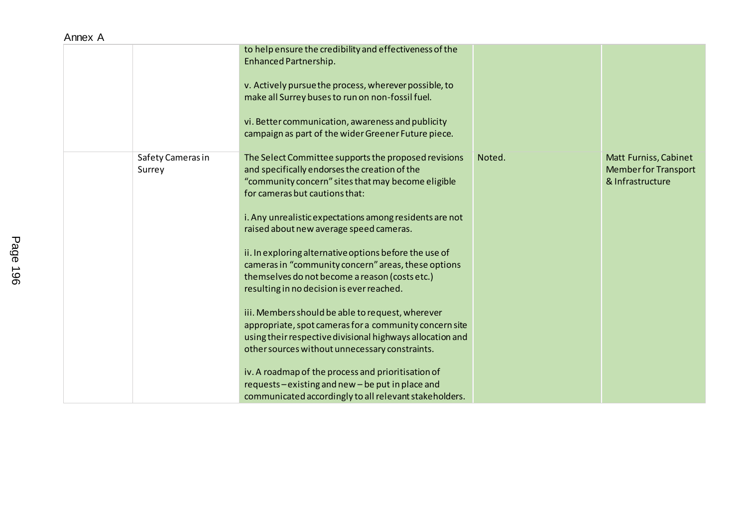| Annex A |                             |                                                                                                                                                                                                                                                                                                                                                                                                                                                                                                                                                                                                                                                                                                                                                                                                                                                                                                                   |        |                                                                          |
|---------|-----------------------------|-------------------------------------------------------------------------------------------------------------------------------------------------------------------------------------------------------------------------------------------------------------------------------------------------------------------------------------------------------------------------------------------------------------------------------------------------------------------------------------------------------------------------------------------------------------------------------------------------------------------------------------------------------------------------------------------------------------------------------------------------------------------------------------------------------------------------------------------------------------------------------------------------------------------|--------|--------------------------------------------------------------------------|
|         |                             | to help ensure the credibility and effectiveness of the<br><b>Enhanced Partnership.</b><br>v. Actively pursue the process, wherever possible, to<br>make all Surrey buses to run on non-fossil fuel.<br>vi. Better communication, awareness and publicity<br>campaign as part of the wider Greener Future piece.                                                                                                                                                                                                                                                                                                                                                                                                                                                                                                                                                                                                  |        |                                                                          |
|         | Safety Cameras in<br>Surrey | The Select Committee supports the proposed revisions<br>and specifically endorses the creation of the<br>"community concern" sites that may become eligible<br>for cameras but cautions that:<br>i. Any unrealistic expectations among residents are not<br>raised about new average speed cameras.<br>ii. In exploring alternative options before the use of<br>cameras in "community concern" areas, these options<br>themselves do not become a reason (costs etc.)<br>resulting in no decision is ever reached.<br>iii. Members should be able to request, wherever<br>appropriate, spot cameras for a community concern site<br>using their respective divisional highways allocation and<br>other sources without unnecessary constraints.<br>iv. A roadmap of the process and prioritisation of<br>requests-existing and new-be put in place and<br>communicated accordingly to all relevant stakeholders. | Noted. | Matt Furniss, Cabinet<br><b>Member for Transport</b><br>& Infrastructure |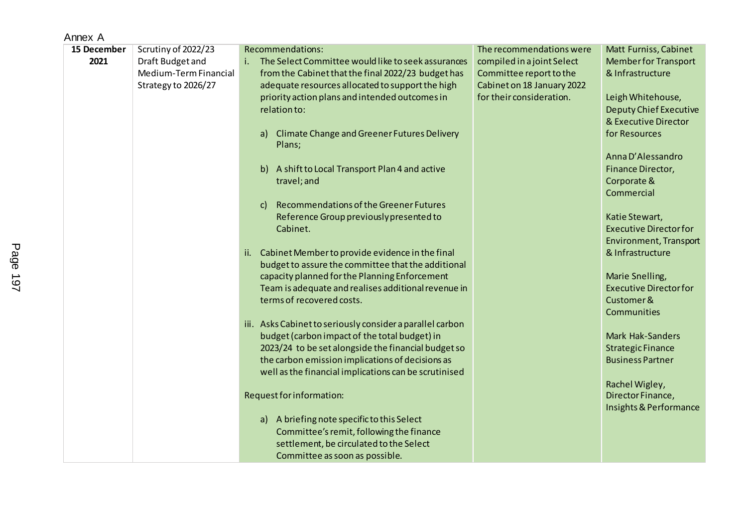| Annex A     |                       |                                                                                                          |                            |                                            |
|-------------|-----------------------|----------------------------------------------------------------------------------------------------------|----------------------------|--------------------------------------------|
| 15 December | Scrutiny of 2022/23   | Recommendations:                                                                                         | The recommendations were   | Matt Furniss, Cabinet                      |
| 2021        | Draft Budget and      | The Select Committee would like to seek assurances                                                       | compiled in a joint Select | <b>Member for Transport</b>                |
|             | Medium-Term Financial | from the Cabinet that the final 2022/23 budget has                                                       | Committee report to the    | & Infrastructure                           |
|             | Strategy to 2026/27   | adequate resources allocated to support the high                                                         | Cabinet on 18 January 2022 |                                            |
|             |                       | priority action plans and intended outcomes in                                                           | for their consideration.   | Leigh Whitehouse,                          |
|             |                       | relation to:                                                                                             |                            | <b>Deputy Chief Executive</b>              |
|             |                       |                                                                                                          |                            | & Executive Director                       |
|             |                       | a) Climate Change and Greener Futures Delivery                                                           |                            | for Resources                              |
|             |                       | Plans;                                                                                                   |                            |                                            |
|             |                       |                                                                                                          |                            | Anna D'Alessandro                          |
|             |                       | b) A shift to Local Transport Plan 4 and active                                                          |                            | Finance Director,                          |
|             |                       | travel; and                                                                                              |                            | Corporate &                                |
|             |                       |                                                                                                          |                            | Commercial                                 |
|             |                       | Recommendations of the Greener Futures<br>$\mathsf{C}$                                                   |                            |                                            |
|             |                       | Reference Group previously presented to                                                                  |                            | Katie Stewart,                             |
|             |                       | Cabinet.                                                                                                 |                            | <b>Executive Director for</b>              |
|             |                       |                                                                                                          |                            | Environment, Transport<br>& Infrastructure |
|             |                       | ii. Cabinet Memberto provide evidence in the final<br>budget to assure the committee that the additional |                            |                                            |
|             |                       | capacity planned for the Planning Enforcement                                                            |                            | Marie Snelling,                            |
|             |                       | Team is adequate and realises additional revenue in                                                      |                            | <b>Executive Director for</b>              |
|             |                       | terms of recovered costs.                                                                                |                            | Customer &                                 |
|             |                       |                                                                                                          |                            | Communities                                |
|             |                       | iii. Asks Cabinet to seriously consider a parallel carbon                                                |                            |                                            |
|             |                       | budget (carbon impact of the total budget) in                                                            |                            | <b>Mark Hak-Sanders</b>                    |
|             |                       | 2023/24 to be set alongside the financial budget so                                                      |                            | <b>Strategic Finance</b>                   |
|             |                       | the carbon emission implications of decisions as                                                         |                            | <b>Business Partner</b>                    |
|             |                       | well as the financial implications can be scrutinised                                                    |                            |                                            |
|             |                       |                                                                                                          |                            | Rachel Wigley,                             |
|             |                       | Request for information:                                                                                 |                            | Director Finance,                          |
|             |                       |                                                                                                          |                            | Insights & Performance                     |
|             |                       | a) A briefing note specific to this Select                                                               |                            |                                            |
|             |                       | Committee's remit, following the finance                                                                 |                            |                                            |
|             |                       | settlement, be circulated to the Select                                                                  |                            |                                            |
|             |                       | Committee as soon as possible.                                                                           |                            |                                            |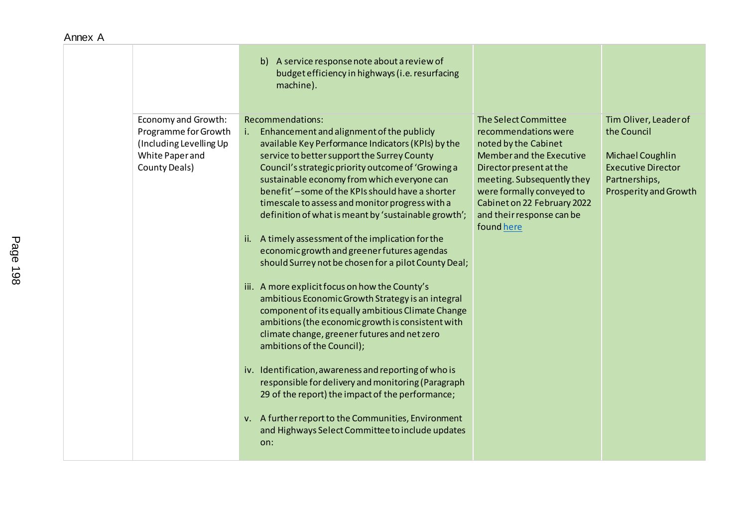|                                                                                                            | b) A service response note about a review of<br>budget efficiency in highways (i.e. resurfacing<br>machine).                                                                                                                                                                                                                                                                                                                                                                                                                                                                                                                                                                                                                                                                                                                                                                                                                                                                                                                                                                                                                                                                                            |                                                                                                                                                                                                                                                                         |                                                                                                                                 |
|------------------------------------------------------------------------------------------------------------|---------------------------------------------------------------------------------------------------------------------------------------------------------------------------------------------------------------------------------------------------------------------------------------------------------------------------------------------------------------------------------------------------------------------------------------------------------------------------------------------------------------------------------------------------------------------------------------------------------------------------------------------------------------------------------------------------------------------------------------------------------------------------------------------------------------------------------------------------------------------------------------------------------------------------------------------------------------------------------------------------------------------------------------------------------------------------------------------------------------------------------------------------------------------------------------------------------|-------------------------------------------------------------------------------------------------------------------------------------------------------------------------------------------------------------------------------------------------------------------------|---------------------------------------------------------------------------------------------------------------------------------|
| Economy and Growth:<br>Programme for Growth<br>(Including Levelling Up<br>White Paper and<br>County Deals) | Recommendations:<br>Enhancement and alignment of the publicly<br>$i_{\rm m}$<br>available Key Performance Indicators (KPIs) by the<br>service to better support the Surrey County<br>Council's strategic priority outcome of 'Growing a<br>sustainable economy from which everyone can<br>benefit' - some of the KPIs should have a shorter<br>timescale to assess and monitor progress with a<br>definition of what is meant by 'sustainable growth';<br>ii. A timely assessment of the implication for the<br>economic growth and greener futures agendas<br>should Surrey not be chosen for a pilot County Deal;<br>iii. A more explicit focus on how the County's<br>ambitious Economic Growth Strategy is an integral<br>component of its equally ambitious Climate Change<br>ambitions (the economic growth is consistent with<br>climate change, greener futures and net zero<br>ambitions of the Council);<br>iv. Identification, awareness and reporting of who is<br>responsible for delivery and monitoring (Paragraph<br>29 of the report) the impact of the performance;<br>v. A further report to the Communities, Environment<br>and Highways Select Committee to include updates<br>on: | The Select Committee<br>recommendations were<br>noted by the Cabinet<br><b>Member and the Executive</b><br>Director present at the<br>meeting. Subsequently they<br>were formally conveyed to<br>Cabinet on 22 February 2022<br>and their response can be<br>found here | Tim Oliver, Leader of<br>the Council<br>Michael Coughlin<br><b>Executive Director</b><br>Partnerships,<br>Prosperity and Growth |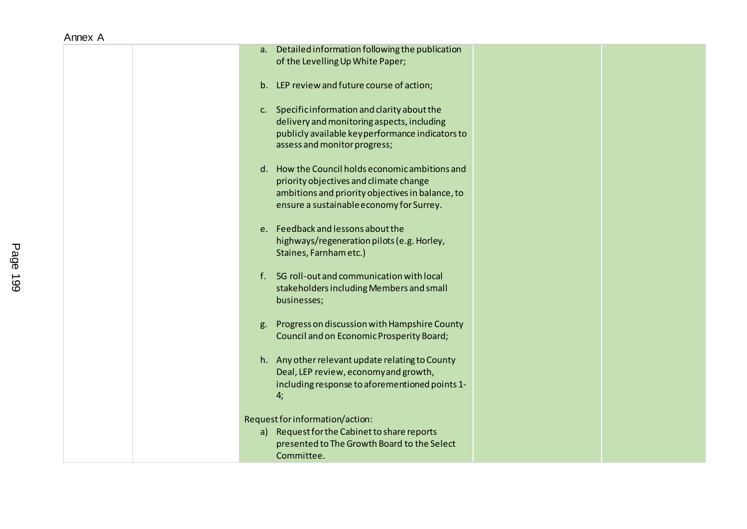| a. Detailed information following the publication<br>of the Levelling Up White Paper;                                                                                                     |  |
|-------------------------------------------------------------------------------------------------------------------------------------------------------------------------------------------|--|
| b. LEP review and future course of action;                                                                                                                                                |  |
| c. Specific information and clarity about the<br>delivery and monitoring aspects, including<br>publicly available keyperformance indicators to<br>assess and monitor progress;            |  |
| d. How the Council holds economic ambitions and<br>priority objectives and climate change<br>ambitions and priority objectives in balance, to<br>ensure a sustainable economy for Surrey. |  |
| e. Feedback and lessons about the<br>highways/regeneration pilots (e.g. Horley,<br>Staines, Farnham etc.)                                                                                 |  |
| 5G roll-out and communication with local<br>f.<br>stakeholders including Members and small<br>businesses;                                                                                 |  |
| g. Progress on discussion with Hampshire County<br><b>Council and on Economic Prosperity Board;</b>                                                                                       |  |
| h. Any other relevant update relating to County<br>Deal, LEP review, economy and growth,<br>including response to aforementioned points 1-<br>4;                                          |  |
| Request for information/action:<br>a) Request for the Cabinet to share reports<br>presented to The Growth Board to the Select<br>Committee.                                               |  |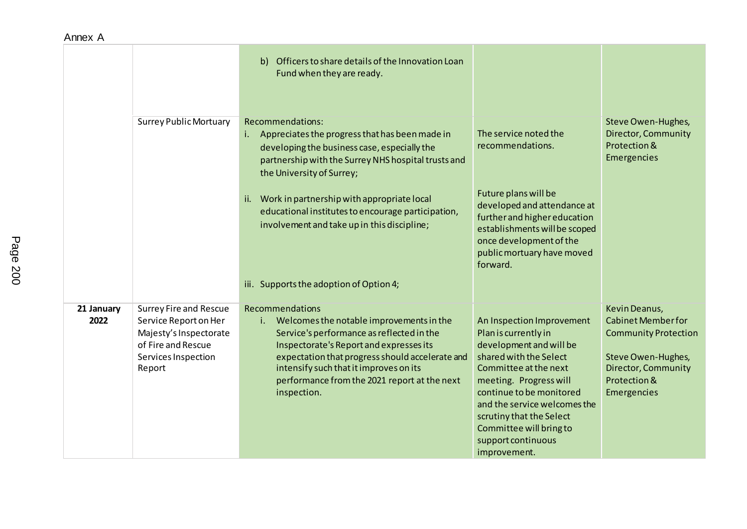| Annex A |  |
|---------|--|
|         |  |

|                    |                                                                                                                                         | Officers to share details of the Innovation Loan<br>$\mathbf{b}$<br>Fund when they are ready.                                                                                                                                                                                                                         |                                                                                                                                                                                                                                                                                                                    |                                                                                                                                                              |
|--------------------|-----------------------------------------------------------------------------------------------------------------------------------------|-----------------------------------------------------------------------------------------------------------------------------------------------------------------------------------------------------------------------------------------------------------------------------------------------------------------------|--------------------------------------------------------------------------------------------------------------------------------------------------------------------------------------------------------------------------------------------------------------------------------------------------------------------|--------------------------------------------------------------------------------------------------------------------------------------------------------------|
|                    | <b>Surrey Public Mortuary</b>                                                                                                           | Recommendations:<br>Appreciates the progress that has been made in<br>i.<br>developing the business case, especially the<br>partnership with the Surrey NHS hospital trusts and<br>the University of Surrey;                                                                                                          | The service noted the<br>recommendations.                                                                                                                                                                                                                                                                          | Steve Owen-Hughes,<br><b>Director, Community</b><br>Protection &<br>Emergencies                                                                              |
|                    |                                                                                                                                         | ii. Work in partnership with appropriate local<br>educational institutes to encourage participation,<br>involvement and take up in this discipline;                                                                                                                                                                   | Future plans will be<br>developed and attendance at<br>further and higher education<br>establishments will be scoped<br>once development of the<br>public mortuary have moved<br>forward.                                                                                                                          |                                                                                                                                                              |
|                    |                                                                                                                                         | iii. Supports the adoption of Option 4;                                                                                                                                                                                                                                                                               |                                                                                                                                                                                                                                                                                                                    |                                                                                                                                                              |
| 21 January<br>2022 | <b>Surrey Fire and Rescue</b><br>Service Report on Her<br>Majesty's Inspectorate<br>of Fire and Rescue<br>Services Inspection<br>Report | Recommendations<br>Welcomes the notable improvements in the<br>i.<br>Service's performance as reflected in the<br>Inspectorate's Report and expresses its<br>expectation that progress should accelerate and<br>intensify such that it improves on its<br>performance from the 2021 report at the next<br>inspection. | An Inspection Improvement<br>Plan is currently in<br>development and will be<br>shared with the Select<br>Committee at the next<br>meeting. Progress will<br>continue to be monitored<br>and the service welcomes the<br>scrutiny that the Select<br>Committee will bring to<br>support continuous<br>improvement. | Kevin Deanus,<br><b>Cabinet Member for</b><br><b>Community Protection</b><br>Steve Owen-Hughes,<br><b>Director, Community</b><br>Protection &<br>Emergencies |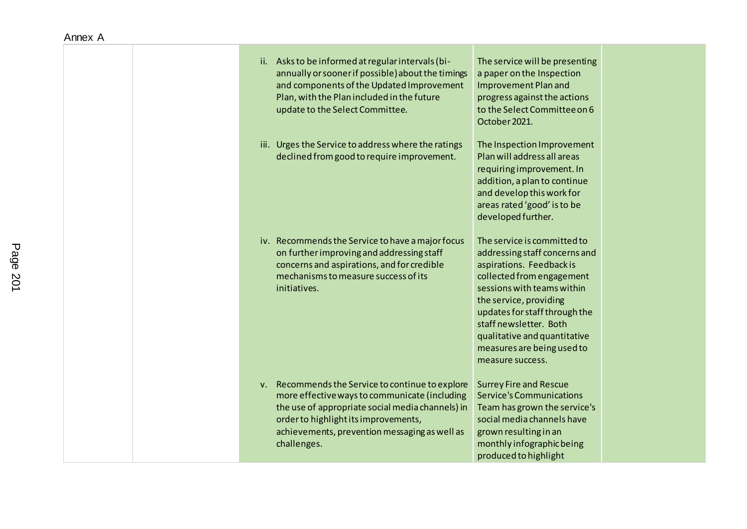| ii. Asks to be informed at regular intervals (bi-<br>annually or sooner if possible) about the timings<br>and components of the Updated Improvement<br>Plan, with the Plan included in the future<br>update to the Select Committee.                          | The service will be presenting<br>a paper on the Inspection<br>Improvement Plan and<br>progress against the actions<br>to the Select Committee on 6<br>October 2021.                                                                                                                                                       |
|---------------------------------------------------------------------------------------------------------------------------------------------------------------------------------------------------------------------------------------------------------------|----------------------------------------------------------------------------------------------------------------------------------------------------------------------------------------------------------------------------------------------------------------------------------------------------------------------------|
| iii. Urges the Service to address where the ratings<br>declined from good to require improvement.                                                                                                                                                             | The Inspection Improvement<br>Plan will address all areas<br>requiring improvement. In<br>addition, a plan to continue<br>and develop this work for<br>areas rated 'good' is to be<br>developed further.                                                                                                                   |
| iv. Recommends the Service to have a major focus<br>on further improving and addressing staff<br>concerns and aspirations, and for credible<br>mechanisms to measure success of its<br>initiatives.                                                           | The service is committed to<br>addressing staff concerns and<br>aspirations. Feedback is<br>collected from engagement<br>sessions with teams within<br>the service, providing<br>updates for staff through the<br>staff newsletter. Both<br>qualitative and quantitative<br>measures are being used to<br>measure success. |
| v. Recommends the Service to continue to explore<br>more effective ways to communicate (including<br>the use of appropriate social media channels) in<br>order to highlight its improvements,<br>achievements, prevention messaging as well as<br>challenges. | <b>Surrey Fire and Rescue</b><br><b>Service's Communications</b><br>Team has grown the service's<br>social media channels have<br>grown resulting in an<br>monthly infographic being<br>produced to highlight                                                                                                              |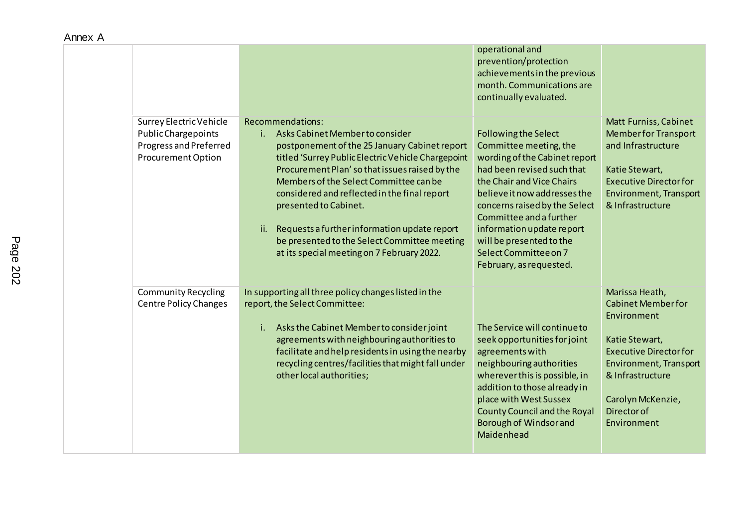|                                                                                                       |                                                                                                                                                                                                                                                                                                                                                                                                                                                                                            | operational and<br>prevention/protection<br>achievements in the previous<br>month. Communications are<br>continually evaluated.                                                                                                                                                                                                                            |                                                                                                                                                                                                                       |
|-------------------------------------------------------------------------------------------------------|--------------------------------------------------------------------------------------------------------------------------------------------------------------------------------------------------------------------------------------------------------------------------------------------------------------------------------------------------------------------------------------------------------------------------------------------------------------------------------------------|------------------------------------------------------------------------------------------------------------------------------------------------------------------------------------------------------------------------------------------------------------------------------------------------------------------------------------------------------------|-----------------------------------------------------------------------------------------------------------------------------------------------------------------------------------------------------------------------|
| Surrey Electric Vehicle<br>Public Chargepoints<br>Progress and Preferred<br><b>Procurement Option</b> | Recommendations:<br>Asks Cabinet Member to consider<br>i.<br>postponement of the 25 January Cabinet report<br>titled 'Surrey Public Electric Vehicle Chargepoint<br>Procurement Plan's o that issues raised by the<br>Members of the Select Committee can be<br>considered and reflected in the final report<br>presented to Cabinet.<br>Requests a further information update report<br>ii.<br>be presented to the Select Committee meeting<br>at its special meeting on 7 February 2022. | <b>Following the Select</b><br>Committee meeting, the<br>wording of the Cabinet report<br>had been revised such that<br>the Chair and Vice Chairs<br>believe it now addresses the<br>concerns raised by the Select<br>Committee and a further<br>information update report<br>will be presented to the<br>Select Committee on 7<br>February, as requested. | Matt Furniss, Cabinet<br><b>Member for Transport</b><br>and Infrastructure<br>Katie Stewart,<br><b>Executive Director for</b><br>Environment, Transport<br>& Infrastructure                                           |
| <b>Community Recycling</b><br><b>Centre Policy Changes</b>                                            | In supporting all three policy changes listed in the<br>report, the Select Committee:<br>Asks the Cabinet Member to consider joint<br>i.<br>agreements with neighbouring authorities to<br>facilitate and help residents in using the nearby<br>recycling centres/facilities that might fall under<br>other local authorities;                                                                                                                                                             | The Service will continue to<br>seek opportunities for joint<br>agreements with<br>neighbouring authorities<br>wherever this is possible, in<br>addition to those already in<br>place with West Sussex<br><b>County Council and the Royal</b><br>Borough of Windsor and<br>Maidenhead                                                                      | Marissa Heath,<br><b>Cabinet Member for</b><br>Environment<br>Katie Stewart,<br><b>Executive Director for</b><br>Environment, Transport<br>& Infrastructure<br>Carolyn McKenzie,<br><b>Director of</b><br>Environment |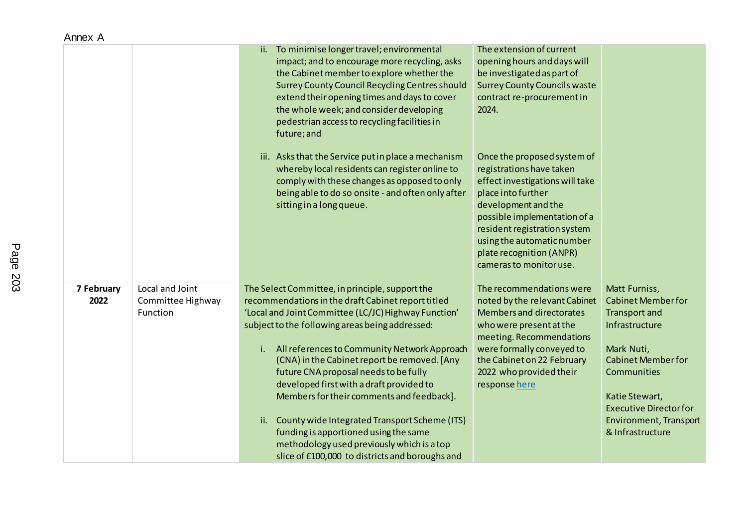| 1111011            |                                                  |                                                                                                                                                                                                                                                                                                                                                                                                                                                                                                                                                                                                                                                            |                                                                                                                                                                                                                                                                                                                                                                                                                                                                     |                                                                                                                                                                                                                                                        |
|--------------------|--------------------------------------------------|------------------------------------------------------------------------------------------------------------------------------------------------------------------------------------------------------------------------------------------------------------------------------------------------------------------------------------------------------------------------------------------------------------------------------------------------------------------------------------------------------------------------------------------------------------------------------------------------------------------------------------------------------------|---------------------------------------------------------------------------------------------------------------------------------------------------------------------------------------------------------------------------------------------------------------------------------------------------------------------------------------------------------------------------------------------------------------------------------------------------------------------|--------------------------------------------------------------------------------------------------------------------------------------------------------------------------------------------------------------------------------------------------------|
|                    |                                                  | To minimise longer travel; environmental<br>ii.<br>impact; and to encourage more recycling, asks<br>the Cabinet member to explore whether the<br>Surrey County Council Recycling Centres should<br>extend their opening times and days to cover<br>the whole week; and consider developing<br>pedestrian access to recycling facilities in<br>future; and<br>iii. Asks that the Service put in place a mechanism<br>whereby local residents can register online to<br>comply with these changes as opposed to only<br>being able to do so onsite - and often only after<br>sitting in a long queue.                                                        | The extension of current<br>opening hours and days will<br>be investigated as part of<br><b>Surrey County Councils waste</b><br>contract re-procurement in<br>2024.<br>Once the proposed system of<br>registrations have taken<br>effect investigations will take<br>place into further<br>development and the<br>possible implementation of a<br>resident registration system<br>using the automatic number<br>plate recognition (ANPR)<br>cameras to monitor use. |                                                                                                                                                                                                                                                        |
| 7 February<br>2022 | Local and Joint<br>Committee Highway<br>Function | The Select Committee, in principle, support the<br>recommendations in the draft Cabinet report titled<br>'Local and Joint Committee (LC/JC) Highway Function'<br>subject to the following areas being addressed:<br>i.<br>All references to Community Network Approach<br>(CNA) in the Cabinet report be removed. [Any<br>future CNA proposal needs to be fully<br>developed first with a draft provided to<br>Members for their comments and feedback].<br>County wide Integrated Transport Scheme (ITS)<br>ii.<br>funding is apportioned using the same<br>methodology used previously which is a top<br>slice of £100,000 to districts and boroughs and | The recommendations were<br>noted by the relevant Cabinet<br>Members and directorates<br>who were present at the<br>meeting. Recommendations<br>were formally conveyed to<br>the Cabinet on 22 February<br>2022 who provided their<br>response here                                                                                                                                                                                                                 | Matt Furniss,<br><b>Cabinet Member for</b><br><b>Transport and</b><br>Infrastructure<br>Mark Nuti,<br><b>Cabinet Member for</b><br><b>Communities</b><br>Katie Stewart,<br><b>Executive Director for</b><br>Environment, Transport<br>& Infrastructure |